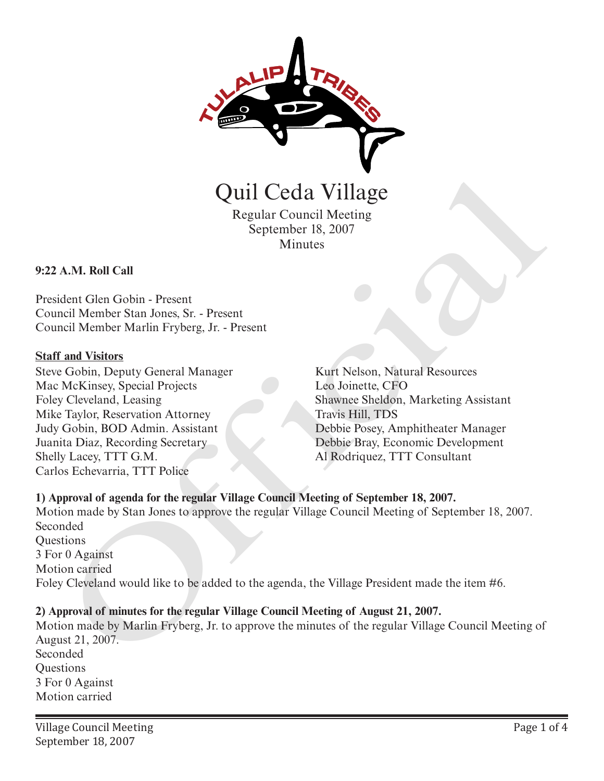

Quil Ceda Village

Regular Council Meeting September 18, 2007 Minutes

### **9:22 A.M. Roll Call**

President Glen Gobin - Present Council Member Stan Jones, Sr. - Present Council Member Marlin Fryberg, Jr. - Present

#### **Staff and Visitors**

Steve Gobin, Deputy General Manager Mac McKinsey, Special Projects Foley Cleveland, Leasing Mike Taylor, Reservation Attorney Judy Gobin, BOD Admin. Assistant Juanita Diaz, Recording Secretary Shelly Lacey, TTT G.M. Carlos Echevarria, TTT Police

Kurt Nelson, Natural Resources Leo Joinette, CFO Shawnee Sheldon, Marketing Assistant Travis Hill, TDS Debbie Posey, Amphitheater Manager Debbie Bray, Economic Development Al Rodriquez, TTT Consultant

## **1) Approval of agenda for the regular Village Council Meeting of September 18, 2007.**

Motion made by Stan Jones to approve the regular Village Council Meeting of September 18, 2007. Seconded **Questions** 3 For 0 Against Motion carried Foley Cleveland would like to be added to the agenda, the Village President made the item #6. **CHATA:** Regular Council Meeting<br>
Regular Council Meeting<br>
September 18, 2007<br>
Minutes<br>
A.M. Roll Call<br>
dent Glen Gobin - Present<br>
redi Member Shan Jones, Sr. - Present<br>
redi Member Marini Fryberg, Jr. - Present<br>
Kurf Nels

### **2) Approval of minutes for the regular Village Council Meeting of August 21, 2007.**

Motion made by Marlin Fryberg, Jr. to approve the minutes of the regular Village Council Meeting of August 21, 2007. Seconded **Ouestions** 3 For 0 Against Motion carried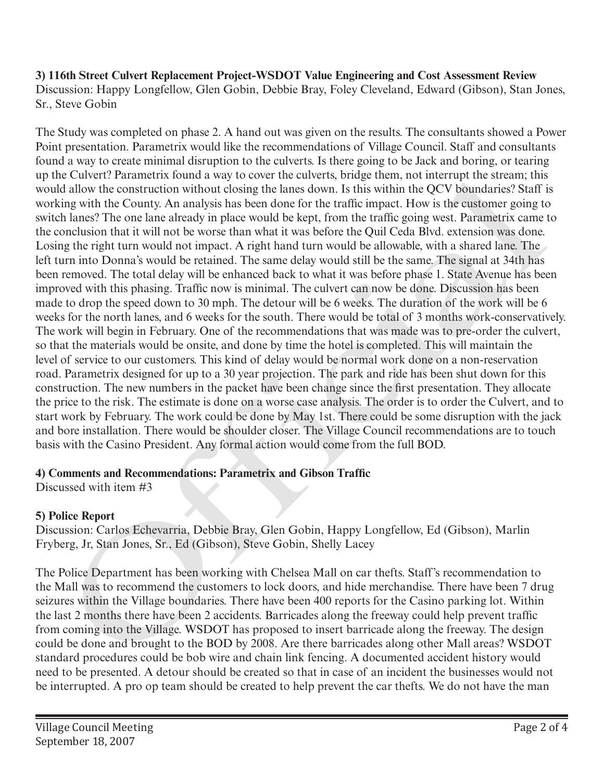**3) 116th Street Culvert Replacement Project-WSDOT Value Engineering and Cost Assessment Review** Discussion: Happy Longfellow, Glen Gobin, Debbie Bray, Foley Cleveland, Edward (Gibson), Stan Jones, Sr., Steve Gobin

The Study was completed on phase 2. A hand out was given on the results. The consultants showed a Power Point presentation. Parametrix would like the recommendations of Village Council. Staff and consultants found a way to create minimal disruption to the culverts. Is there going to be Jack and boring, or tearing up the Culvert? Parametrix found a way to cover the culverts, bridge them, not interrupt the stream; this would allow the construction without closing the lanes down. Is this within the QCV boundaries? Staff is working with the County. An analysis has been done for the traffic impact. How is the customer going to switch lanes? The one lane already in place would be kept, from the traffic going west. Parametrix came to the conclusion that it will not be worse than what it was before the Quil Ceda Blvd. extension was done. Losing the right turn would not impact. A right hand turn would be allowable, with a shared lane. The left turn into Donna's would be retained. The same delay would still be the same. The signal at 34th has been removed. The total delay will be enhanced back to what it was before phase 1. State Avenue has been improved with this phasing. Traffic now is minimal. The culvert can now be done. Discussion has been made to drop the speed down to 30 mph. The detour will be 6 weeks. The duration of the work will be 6 weeks for the north lanes, and 6 weeks for the south. There would be total of 3 months work-conservatively. The work will begin in February. One of the recommendations that was made was to pre-order the culvert, so that the materials would be onsite, and done by time the hotel is completed. This will maintain the level of service to our customers. This kind of delay would be normal work done on a non-reservation road. Parametrix designed for up to a 30 year projection. The park and ride has been shut down for this construction. The new numbers in the packet have been change since the first presentation. They allocate the price to the risk. The estimate is done on a worse case analysis. The order is to order the Culvert, and to start work by February. The work could be done by May 1st. There could be some disruption with the jack and bore installation. There would be shoulder closer. The Village Council recommendations are to touch basis with the Casino President. Any formal action would come from the full BOD. e Curver? Parametriv chana a way to eave the curvers, bringe then, not intervirginal that seem a distribution without closing the lanes down. It shis within the QCV boundaries? Staff in the Curver, Am analysis has been don

## **4) Comments and Recommendations: Parametrix and Gibson Traffic**

Discussed with item #3

# **5) Police Report**

Discussion: Carlos Echevarria, Debbie Bray, Glen Gobin, Happy Longfellow, Ed (Gibson), Marlin Fryberg, Jr, Stan Jones, Sr., Ed (Gibson), Steve Gobin, Shelly Lacey

The Police Department has been working with Chelsea Mall on car thefts. Staff's recommendation to the Mall was to recommend the customers to lock doors, and hide merchandise. There have been 7 drug seizures within the Village boundaries. There have been 400 reports for the Casino parking lot. Within the last 2 months there have been 2 accidents. Barricades along the freeway could help prevent traffic from coming into the Village. WSDOT has proposed to insert barricade along the freeway. The design could be done and brought to the BOD by 2008. Are there barricades along other Mall areas? WSDOT standard procedures could be bob wire and chain link fencing. A documented accident history would need to be presented. A detour should be created so that in case of an incident the businesses would not be interrupted. A pro op team should be created to help prevent the car thefts. We do not have the man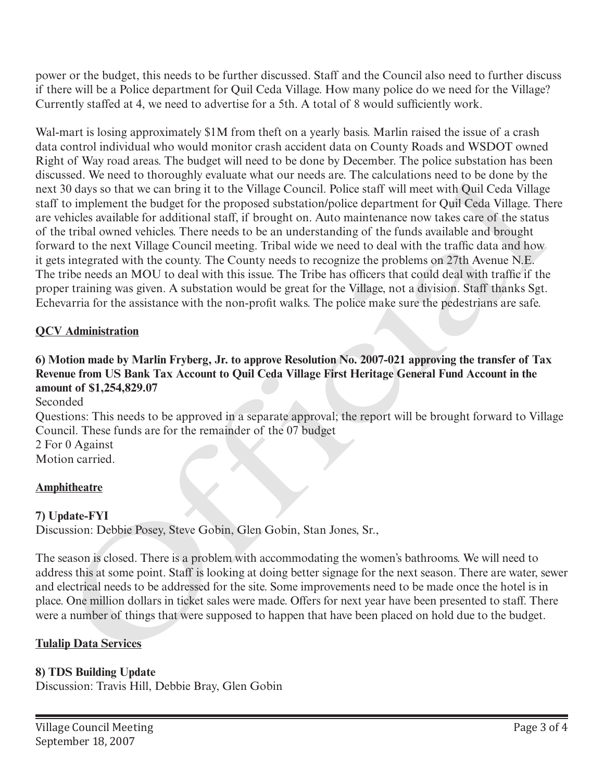power or the budget, this needs to be further discussed. Staff and the Council also need to further discuss if there will be a Police department for Quil Ceda Village. How many police do we need for the Village? Currently staffed at 4, we need to advertise for a 5th. A total of 8 would sufficiently work.

Wal-mart is losing approximately \$1M from theft on a yearly basis. Marlin raised the issue of a crash data control individual who would monitor crash accident data on County Roads and WSDOT owned Right of Way road areas. The budget will need to be done by December. The police substation has been discussed. We need to thoroughly evaluate what our needs are. The calculations need to be done by the next 30 days so that we can bring it to the Village Council. Police staff will meet with Quil Ceda Village staff to implement the budget for the proposed substation/police department for Quil Ceda Village. There are vehicles available for additional staff, if brought on. Auto maintenance now takes care of the status of the tribal owned vehicles. There needs to be an understanding of the funds available and brought forward to the next Village Council meeting. Tribal wide we need to deal with the traffic data and how it gets integrated with the county. The County needs to recognize the problems on 27th Avenue N.E. The tribe needs an MOU to deal with this issue. The Tribe has officers that could deal with traffic if the proper training was given. A substation would be great for the Village, not a division. Staff thanks Sgt. Echevarria for the assistance with the non-profit walks. The police make sure the pedestrians are safe. isses.<br>The need to thorology we want our heats are. The calculations need to be adone to the<br>document the budget for the proposed substation/police department for Quil Cedu Village. This<br>chirds swallable for additional sta

### **QCV Administration**

# **6) Motion made by Marlin Fryberg, Jr. to approve Resolution No. 2007-021 approving the transfer of Tax Revenue from US Bank Tax Account to Quil Ceda Village First Heritage General Fund Account in the amount of \$1,254,829.07**

Seconded

Questions: This needs to be approved in a separate approval; the report will be brought forward to Village Council. These funds are for the remainder of the 07 budget

2 For 0 Against Motion carried.

### **Amphitheatre**

### **7) Update-FYI**

Discussion: Debbie Posey, Steve Gobin, Glen Gobin, Stan Jones, Sr.,

The season is closed. There is a problem with accommodating the women's bathrooms. We will need to address this at some point. Staff is looking at doing better signage for the next season. There are water, sewer and electrical needs to be addressed for the site. Some improvements need to be made once the hotel is in place. One million dollars in ticket sales were made. Offers for next year have been presented to staff. There were a number of things that were supposed to happen that have been placed on hold due to the budget.

### **Tulalip Data Services**

### **8) TDS Building Update**

Discussion: Travis Hill, Debbie Bray, Glen Gobin